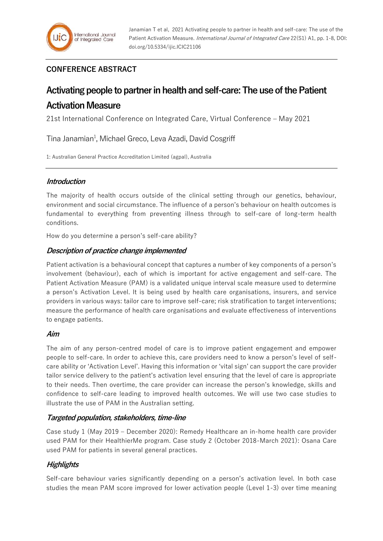# **CONFERENCE ABSTRACT**

# **Activating people to partner in health and self-care: The use of the Patient Activation Measure**

21st International Conference on Integrated Care, Virtual Conference – May 2021

Tina Janamian<sup>1</sup>, Michael Greco, Leva Azadi, David Cosgriff

1: Australian General Practice Accreditation Limited (agpal), Australia

## **Introduction**

The majority of health occurs outside of the clinical setting through our genetics, behaviour, environment and social circumstance. The influence of a person's behaviour on health outcomes is fundamental to everything from preventing illness through to self-care of long-term health conditions.

How do you determine a person's self-care ability?

# **Description of practice change implemented**

Patient activation is a behavioural concept that captures a number of key components of a person's involvement (behaviour), each of which is important for active engagement and self-care. The Patient Activation Measure (PAM) is a validated unique interval scale measure used to determine a person's Activation Level. It is being used by health care organisations, insurers, and service providers in various ways: tailor care to improve self-care; risk stratification to target interventions; measure the performance of health care organisations and evaluate effectiveness of interventions to engage patients.

#### **Aim**

The aim of any person-centred model of care is to improve patient engagement and empower people to self-care. In order to achieve this, care providers need to know a person's level of selfcare ability or 'Activation Level'. Having this information or 'vital sign' can support the care provider tailor service delivery to the patient's activation level ensuring that the level of care is appropriate to their needs. Then overtime, the care provider can increase the person's knowledge, skills and confidence to self-care leading to improved health outcomes. We will use two case studies to illustrate the use of PAM in the Australian setting.

## **Targeted population, stakeholders, time-line**

Case study 1 (May 2019 – December 2020): Remedy Healthcare an in-home health care provider used PAM for their HealthierMe program. Case study 2 (October 2018-March 2021): Osana Care used PAM for patients in several general practices.

# **Highlights**

Self-care behaviour varies significantly depending on a person's activation level. In both case studies the mean PAM score improved for lower activation people (Level 1-3) over time meaning